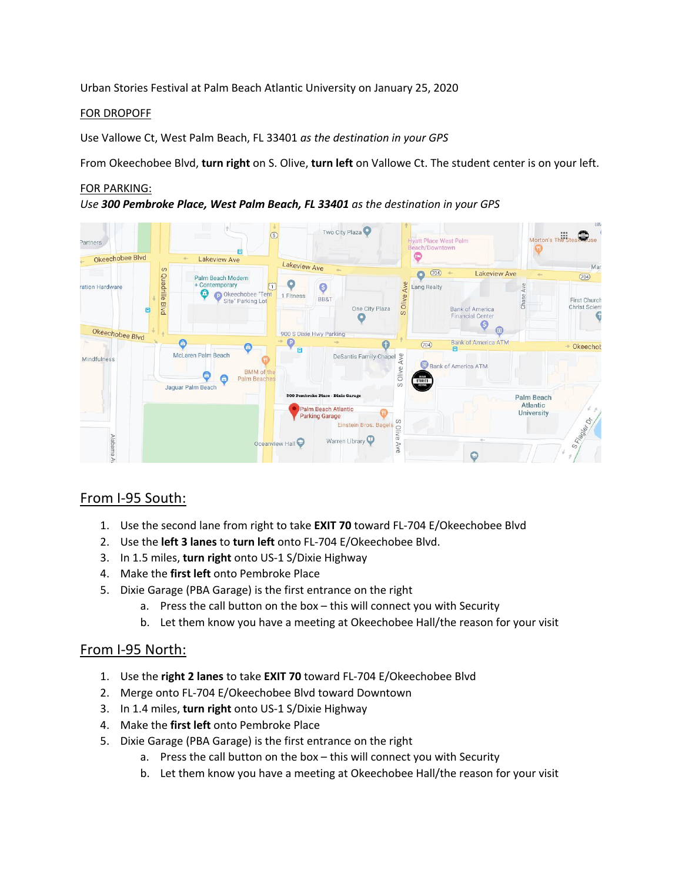Urban Stories Festival at Palm Beach Atlantic University on January 25, 2020

#### FOR DROPOFF

Use Vallowe Ct, West Palm Beach, FL 33401 *as the destination in your GPS*

From Okeechobee Blvd, **turn right** on S. Olive, **turn left** on Vallowe Ct. The student center is on your left.

### FOR PARKING:

*Use 300 Pembroke Place, West Palm Beach, FL 33401 as the destination in your GPS*



# From I-95 South:

- 1. Use the second lane from right to take **EXIT 70** toward FL-704 E/Okeechobee Blvd
- 2. Use the **left 3 lanes** to **turn left** onto FL-704 E/Okeechobee Blvd.
- 3. In 1.5 miles, **turn right** onto US-1 S/Dixie Highway
- 4. Make the **first left** onto Pembroke Place
- 5. Dixie Garage (PBA Garage) is the first entrance on the right
	- a. Press the call button on the box this will connect you with Security
	- b. Let them know you have a meeting at Okeechobee Hall/the reason for your visit

### From I-95 North:

- 1. Use the **right 2 lanes** to take **EXIT 70** toward FL-704 E/Okeechobee Blvd
- 2. Merge onto FL-704 E/Okeechobee Blvd toward Downtown
- 3. In 1.4 miles, **turn right** onto US-1 S/Dixie Highway
- 4. Make the **first left** onto Pembroke Place
- 5. Dixie Garage (PBA Garage) is the first entrance on the right
	- a. Press the call button on the box this will connect you with Security
	- b. Let them know you have a meeting at Okeechobee Hall/the reason for your visit